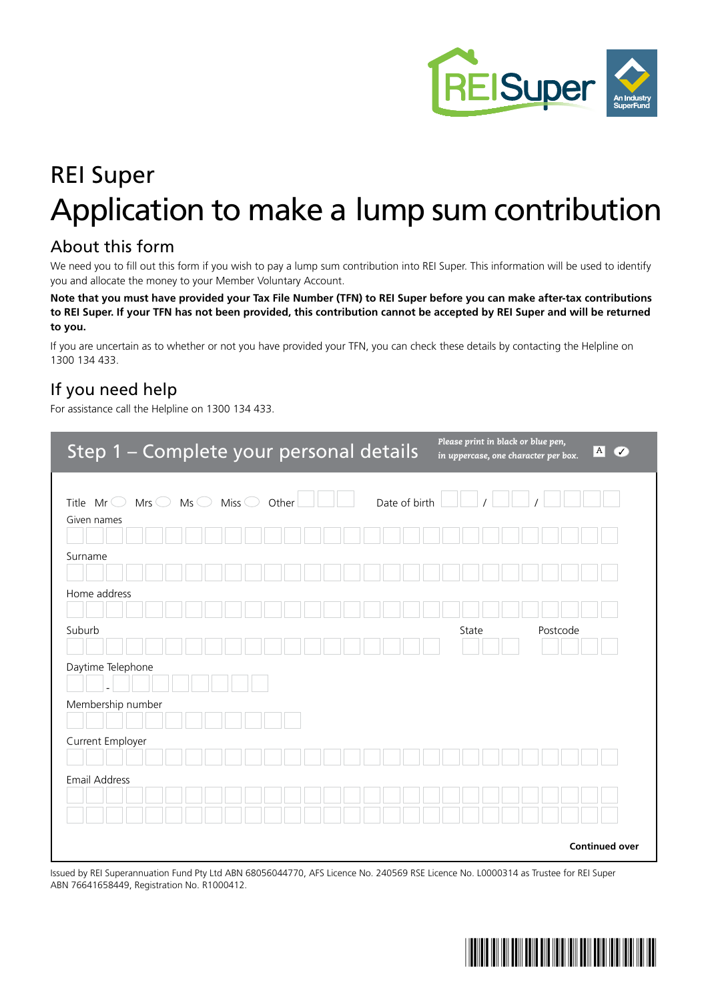

# REI Super Application to make a lump sum contribution

#### About this form

We need you to fill out this form if you wish to pay a lump sum contribution into REI Super. This information will be used to identify you and allocate the money to your Member Voluntary Account.

**Note that you must have provided your Tax File Number (TFN) to REI Super before you can make after-tax contributions to REI Super. If your TFN has not been provided, this contribution cannot be accepted by REI Super and will be returned to you.**

If you are uncertain as to whether or not you have provided your TFN, you can check these details by contacting the Helpline on 1300 134 433.

#### If you need help

For assistance call the Helpline on 1300 134 433.

| Step 1 - Complete your personal details                                                                           | Please print in black or blue pen,<br>$\overline{A}$<br>$\overline{\mathcal{A}}$<br>in uppercase, one character per box. |
|-------------------------------------------------------------------------------------------------------------------|--------------------------------------------------------------------------------------------------------------------------|
| $Mrs$ $\bigcirc$ $Ms$ $\bigcirc$ $Miss$ $\bigcirc$<br>Date of birth<br>Other<br>Title $Mr^{\odot}$<br>Given names |                                                                                                                          |
| Surname                                                                                                           |                                                                                                                          |
| Home address                                                                                                      |                                                                                                                          |
| Suburb<br>Daytime Telephone                                                                                       | Postcode<br>State                                                                                                        |
| Membership number                                                                                                 |                                                                                                                          |
| Current Employer                                                                                                  |                                                                                                                          |
| Email Address                                                                                                     |                                                                                                                          |
|                                                                                                                   |                                                                                                                          |
|                                                                                                                   | <b>Continued over</b>                                                                                                    |

Issued by REI Superannuation Fund Pty Ltd ABN 68056044770, AFS Licence No. 240569 RSE Licence No. L0000314 as Trustee for REI Super ABN 76641658449, Registration No. R1000412.

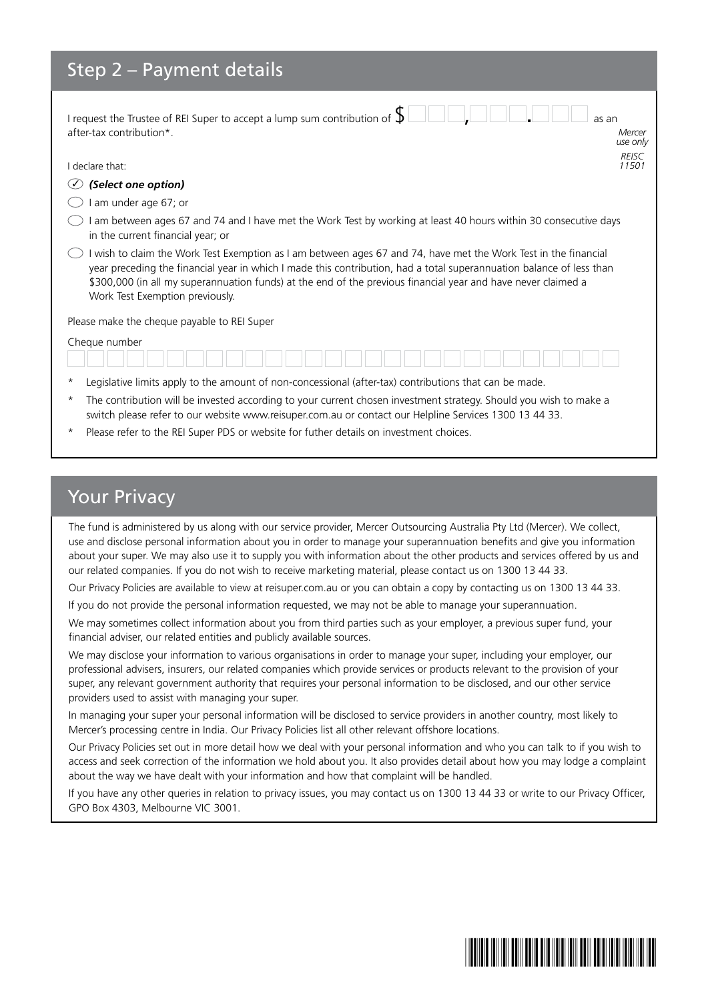### Step 2 – Payment details

| I request the Trustee of REI Super to accept a lump sum contribution of $\oint$<br>as an<br>after-tax contribution*.<br>Mercer<br>use only                                                                                                                                                                                                                                                  |  |  |
|---------------------------------------------------------------------------------------------------------------------------------------------------------------------------------------------------------------------------------------------------------------------------------------------------------------------------------------------------------------------------------------------|--|--|
| <b>REISC</b><br>I declare that:<br>11501                                                                                                                                                                                                                                                                                                                                                    |  |  |
| (Select one option)                                                                                                                                                                                                                                                                                                                                                                         |  |  |
| am under age 67; or                                                                                                                                                                                                                                                                                                                                                                         |  |  |
| am between ages 67 and 74 and I have met the Work Test by working at least 40 hours within 30 consecutive days<br>in the current financial year; or                                                                                                                                                                                                                                         |  |  |
| I wish to claim the Work Test Exemption as I am between ages 67 and 74, have met the Work Test in the financial<br>year preceding the financial year in which I made this contribution, had a total superannuation balance of less than<br>\$300,000 (in all my superannuation funds) at the end of the previous financial year and have never claimed a<br>Work Test Exemption previously. |  |  |
| Please make the cheque payable to REI Super                                                                                                                                                                                                                                                                                                                                                 |  |  |
| Cheque number                                                                                                                                                                                                                                                                                                                                                                               |  |  |
| Legislative limits apply to the amount of non-concessional (after-tax) contributions that can be made.<br>$\star$                                                                                                                                                                                                                                                                           |  |  |
| The contribution will be invested according to your current chosen investment strategy. Should you wish to make a<br>$\star$                                                                                                                                                                                                                                                                |  |  |

- switch please refer to our website www.reisuper.com.au or contact our Helpline Services 1300 13 44 33.
- Please refer to the REI Super PDS or website for futher details on investment choices.

#### Your Privacy

The fund is administered by us along with our service provider, Mercer Outsourcing Australia Pty Ltd (Mercer). We collect, use and disclose personal information about you in order to manage your superannuation benefits and give you information about your super. We may also use it to supply you with information about the other products and services offered by us and our related companies. If you do not wish to receive marketing material, please contact us on 1300 13 44 33.

Our Privacy Policies are available to view at reisuper.com.au or you can obtain a copy by contacting us on 1300 13 44 33.

If you do not provide the personal information requested, we may not be able to manage your superannuation.

We may sometimes collect information about you from third parties such as your employer, a previous super fund, your financial adviser, our related entities and publicly available sources.

We may disclose your information to various organisations in order to manage your super, including your employer, our professional advisers, insurers, our related companies which provide services or products relevant to the provision of your super, any relevant government authority that requires your personal information to be disclosed, and our other service providers used to assist with managing your super.

In managing your super your personal information will be disclosed to service providers in another country, most likely to Mercer's processing centre in India. Our Privacy Policies list all other relevant offshore locations.

Our Privacy Policies set out in more detail how we deal with your personal information and who you can talk to if you wish to access and seek correction of the information we hold about you. It also provides detail about how you may lodge a complaint about the way we have dealt with your information and how that complaint will be handled.

If you have any other queries in relation to privacy issues, you may contact us on 1300 13 44 33 or write to our Privacy Officer, GPO Box 4303, Melbourne VIC 3001.